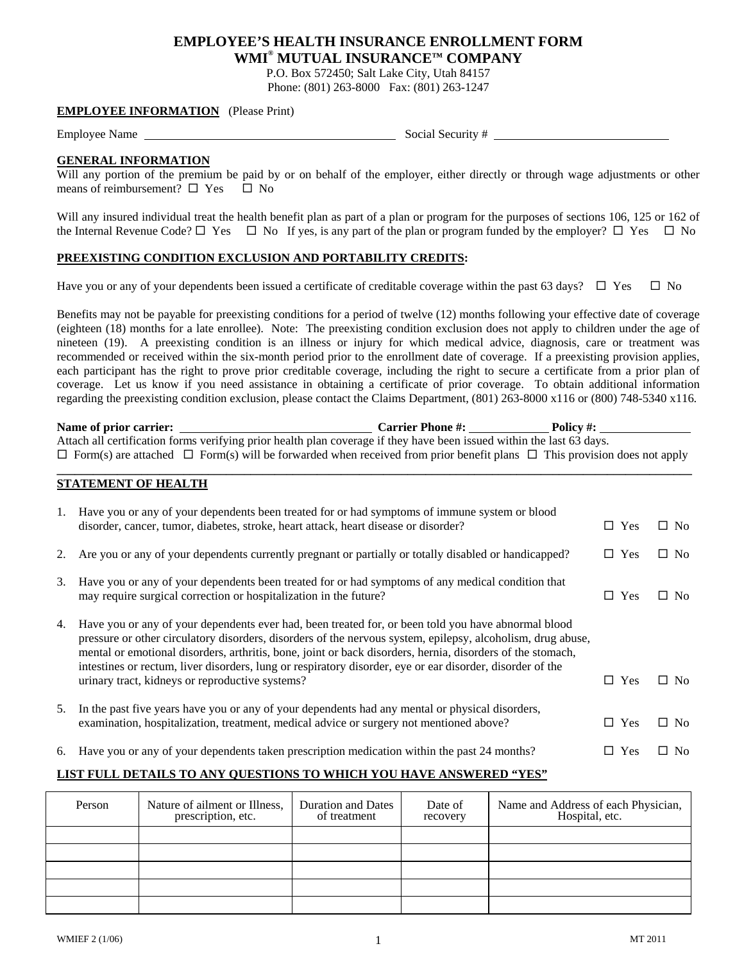# **EMPLOYEE'S HEALTH INSURANCE ENROLLMENT FORM WMI® MUTUAL INSURANCE™ COMPANY**

P.O. Box 572450; Salt Lake City, Utah 84157

Phone: (801) 263-8000 Fax: (801) 263-1247

## **EMPLOYEE INFORMATION** (Please Print)

Employee Name Social Security #

#### **GENERAL INFORMATION**

Will any portion of the premium be paid by or on behalf of the employer, either directly or through wage adjustments or other means of reimbursement?  $\Box$  Yes  $\Box$  No

Will any insured individual treat the health benefit plan as part of a plan or program for the purposes of sections 106, 125 or 162 of the Internal Revenue Code?  $\Box$  Yes  $\Box$  No If yes, is any part of the plan or program funded by the employer?  $\Box$  Yes  $\Box$  No

#### **PREEXISTING CONDITION EXCLUSION AND PORTABILITY CREDITS:**

Have you or any of your dependents been issued a certificate of creditable coverage within the past 63 days?  $\Box$  Yes  $\Box$  No

Benefits may not be payable for preexisting conditions for a period of twelve (12) months following your effective date of coverage (eighteen (18) months for a late enrollee). Note: The preexisting condition exclusion does not apply to children under the age of nineteen (19). A preexisting condition is an illness or injury for which medical advice, diagnosis, care or treatment was recommended or received within the six-month period prior to the enrollment date of coverage. If a preexisting provision applies, each participant has the right to prove prior creditable coverage, including the right to secure a certificate from a prior plan of coverage. Let us know if you need assistance in obtaining a certificate of prior coverage. To obtain additional information regarding the preexisting condition exclusion, please contact the Claims Department, (801) 263-8000 x116 or (800) 748-5340 x116.

| Name of prior carrier:                                                                                                                   | <b>Carrier Phone #:</b> | Policy #: |  |  |  |  |
|------------------------------------------------------------------------------------------------------------------------------------------|-------------------------|-----------|--|--|--|--|
| Attach all certification forms verifying prior health plan coverage if they have been issued within the last 63 days.                    |                         |           |  |  |  |  |
| $\Box$ Form(s) are attached $\Box$ Form(s) will be forwarded when received from prior benefit plans $\Box$ This provision does not apply |                         |           |  |  |  |  |

**\_\_\_\_\_\_\_\_\_\_\_\_\_\_\_\_\_\_\_\_\_\_\_\_\_\_\_\_\_\_\_\_\_\_\_\_\_\_\_\_\_\_\_\_\_\_\_\_\_\_\_\_\_\_\_\_\_\_\_\_\_\_\_\_\_\_\_\_\_\_\_\_\_\_\_\_\_\_\_\_\_\_\_\_\_\_\_\_\_\_\_\_\_\_\_\_\_\_\_\_\_\_\_\_\_** 

### **STATEMENT OF HEALTH**

| 1. | Have you or any of your dependents been treated for or had symptoms of immune system or blood<br>disorder, cancer, tumor, diabetes, stroke, heart attack, heart disease or disorder?                                                                                                                                                                                                                                                                                                             | $\Box$ Yes | $\Box$ No            |
|----|--------------------------------------------------------------------------------------------------------------------------------------------------------------------------------------------------------------------------------------------------------------------------------------------------------------------------------------------------------------------------------------------------------------------------------------------------------------------------------------------------|------------|----------------------|
| 2. | Are you or any of your dependents currently pregnant or partially or totally disabled or handicapped?                                                                                                                                                                                                                                                                                                                                                                                            | $\Box$ Yes | $\Box$ No            |
| 3. | Have you or any of your dependents been treated for or had symptoms of any medical condition that<br>may require surgical correction or hospitalization in the future?                                                                                                                                                                                                                                                                                                                           | $\Box$ Yes | $\Box$ No            |
| 4. | Have you or any of your dependents ever had, been treated for, or been told you have abnormal blood<br>pressure or other circulatory disorders, disorders of the nervous system, epilepsy, alcoholism, drug abuse,<br>mental or emotional disorders, arthritis, bone, joint or back disorders, hernia, disorders of the stomach,<br>intestines or rectum, liver disorders, lung or respiratory disorder, eye or ear disorder, disorder of the<br>urinary tract, kidneys or reproductive systems? | $\Box$ Yes | $\Box$ No            |
| 5. | In the past five years have you or any of your dependents had any mental or physical disorders,<br>examination, hospitalization, treatment, medical advice or surgery not mentioned above?                                                                                                                                                                                                                                                                                                       | $\Box$ Yes | $\Box$ No            |
| 6. | Have you or any of your dependents taken prescription medication within the past 24 months?                                                                                                                                                                                                                                                                                                                                                                                                      | Yes        | N <sub>0</sub><br>П. |

## **LIST FULL DETAILS TO ANY QUESTIONS TO WHICH YOU HAVE ANSWERED "YES"**

| Person | Nature of ailment or Illness,<br>prescription, etc. | <b>Duration and Dates</b><br>of treatment | Date of<br>recovery | Name and Address of each Physician,<br>Hospital, etc. |
|--------|-----------------------------------------------------|-------------------------------------------|---------------------|-------------------------------------------------------|
|        |                                                     |                                           |                     |                                                       |
|        |                                                     |                                           |                     |                                                       |
|        |                                                     |                                           |                     |                                                       |
|        |                                                     |                                           |                     |                                                       |
|        |                                                     |                                           |                     |                                                       |